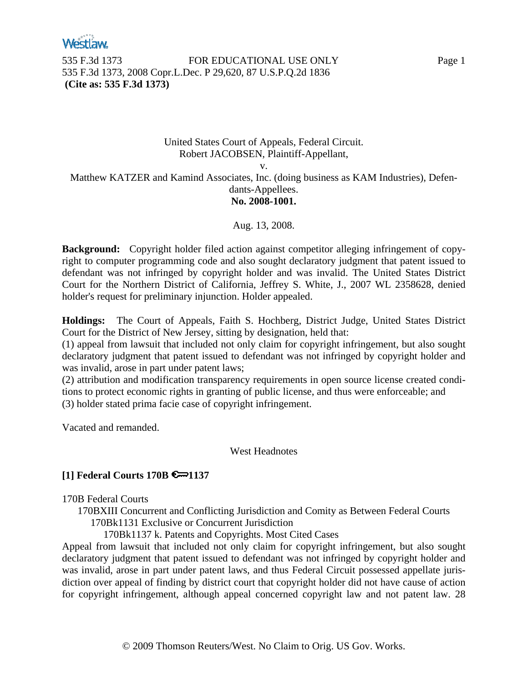535 F.3d 1373 FOR EDUCATIONAL USE ONLY Page 1 535 F.3d 1373, 2008 Copr.L.Dec. P 29,620, 87 U.S.P.Q.2d 1836 **(Cite as: 535 F.3d 1373)**

## United States Court of Appeals, Federal Circuit. Robert JACOBSEN, Plaintiff-Appellant,

v.

Matthew KATZER and Kamind Associates, Inc. (doing business as KAM Industries), Defendants-Appellees. **No. 2008-1001.**

Aug. 13, 2008.

**Background:** Copyright holder filed action against competitor alleging infringement of copyright to computer programming code and also sought declaratory judgment that patent issued to defendant was not infringed by copyright holder and was invalid. The United States District Court for the Northern District of California, Jeffrey S. White, J., 2007 WL 2358628, denied holder's request for preliminary injunction. Holder appealed.

**Holdings:** The Court of Appeals, Faith S. Hochberg, District Judge, United States District Court for the District of New Jersey, sitting by designation, held that:

(1) appeal from lawsuit that included not only claim for copyright infringement, but also sought declaratory judgment that patent issued to defendant was not infringed by copyright holder and was invalid, arose in part under patent laws;

(2) attribution and modification transparency requirements in open source license created conditions to protect economic rights in granting of public license, and thus were enforceable; and (3) holder stated prima facie case of copyright infringement.

Vacated and remanded.

West Headnotes

# **[1] Federal Courts 170B 6**-1137

170B Federal Courts

 170BXIII Concurrent and Conflicting Jurisdiction and Comity as Between Federal Courts 170Bk1131 Exclusive or Concurrent Jurisdiction

170Bk1137 k. Patents and Copyrights. Most Cited Cases

Appeal from lawsuit that included not only claim for copyright infringement, but also sought declaratory judgment that patent issued to defendant was not infringed by copyright holder and was invalid, arose in part under patent laws, and thus Federal Circuit possessed appellate jurisdiction over appeal of finding by district court that copyright holder did not have cause of action for copyright infringement, although appeal concerned copyright law and not patent law. 28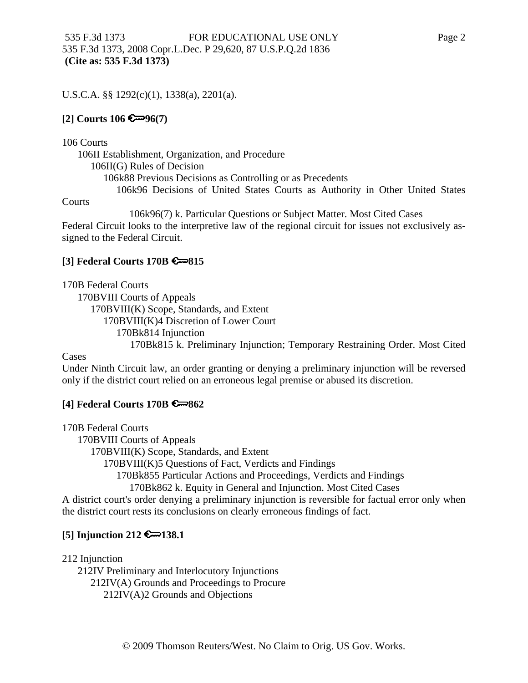U.S.C.A. §§ 1292(c)(1), 1338(a), 2201(a).

## **[2] Courts 106 96(7)**

## 106 Courts

 106II Establishment, Organization, and Procedure 106II(G) Rules of Decision 106k88 Previous Decisions as Controlling or as Precedents 106k96 Decisions of United States Courts as Authority in Other United States

**Courts** 

106k96(7) k. Particular Questions or Subject Matter. Most Cited Cases

Federal Circuit looks to the interpretive law of the regional circuit for issues not exclusively assigned to the Federal Circuit.

## **[3] Federal Courts 170B 815**

170B Federal Courts

 170BVIII Courts of Appeals 170BVIII(K) Scope, Standards, and Extent 170BVIII(K)4 Discretion of Lower Court 170Bk814 Injunction

170Bk815 k. Preliminary Injunction; Temporary Restraining Order. Most Cited

Cases

Under Ninth Circuit law, an order granting or denying a preliminary injunction will be reversed only if the district court relied on an erroneous legal premise or abused its discretion.

# **[4] Federal Courts 170B 862**

170B Federal Courts

170BVIII Courts of Appeals

170BVIII(K) Scope, Standards, and Extent

170BVIII(K)5 Questions of Fact, Verdicts and Findings

170Bk855 Particular Actions and Proceedings, Verdicts and Findings

170Bk862 k. Equity in General and Injunction. Most Cited Cases

A district court's order denying a preliminary injunction is reversible for factual error only when the district court rests its conclusions on clearly erroneous findings of fact.

# **[5] Injunction 212 6** 138.1

212 Injunction

212IV Preliminary and Interlocutory Injunctions

212IV(A) Grounds and Proceedings to Procure

212IV(A)2 Grounds and Objections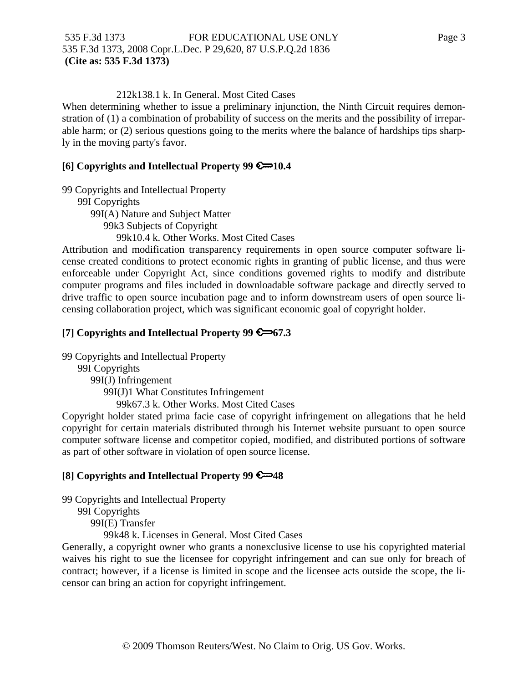## 212k138.1 k. In General. Most Cited Cases

When determining whether to issue a preliminary injunction, the Ninth Circuit requires demonstration of (1) a combination of probability of success on the merits and the possibility of irreparable harm; or (2) serious questions going to the merits where the balance of hardships tips sharply in the moving party's favor.

## **[6] Copyrights and Intellectual Property 99 6** 10.4

99 Copyrights and Intellectual Property

99I Copyrights

99I(A) Nature and Subject Matter

99k3 Subjects of Copyright

99k10.4 k. Other Works. Most Cited Cases

Attribution and modification transparency requirements in open source computer software license created conditions to protect economic rights in granting of public license, and thus were enforceable under Copyright Act, since conditions governed rights to modify and distribute computer programs and files included in downloadable software package and directly served to drive traffic to open source incubation page and to inform downstream users of open source licensing collaboration project, which was significant economic goal of copyright holder.

## **[7] Copyrights and Intellectual Property 99 67.3**

99 Copyrights and Intellectual Property

99I Copyrights

 99I(J) Infringement 99I(J)1 What Constitutes Infringement

99k67.3 k. Other Works. Most Cited Cases

Copyright holder stated prima facie case of copyright infringement on allegations that he held copyright for certain materials distributed through his Internet website pursuant to open source computer software license and competitor copied, modified, and distributed portions of software as part of other software in violation of open source license.

## **[8] Copyrights and Intellectual Property 99 48**

99 Copyrights and Intellectual Property

99I Copyrights

99I(E) Transfer

99k48 k. Licenses in General. Most Cited Cases

Generally, a copyright owner who grants a nonexclusive license to use his copyrighted material waives his right to sue the licensee for copyright infringement and can sue only for breach of contract; however, if a license is limited in scope and the licensee acts outside the scope, the licensor can bring an action for copyright infringement.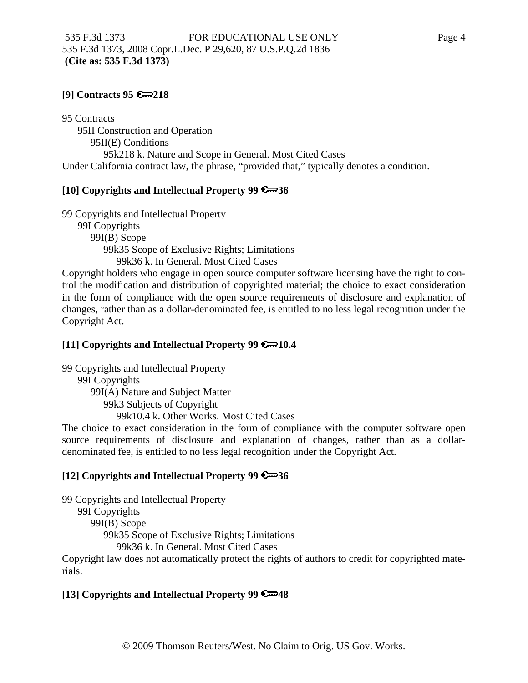# **[9] Contracts 95 218**

95 Contracts 95II Construction and Operation 95II(E) Conditions 95k218 k. Nature and Scope in General. Most Cited Cases Under California contract law, the phrase, "provided that," typically denotes a condition.

## **[10] Copyrights and Intellectual Property 99**  $\approx 36$

99 Copyrights and Intellectual Property 99I Copyrights 99I(B) Scope 99k35 Scope of Exclusive Rights; Limitations 99k36 k. In General. Most Cited Cases

Copyright holders who engage in open source computer software licensing have the right to control the modification and distribution of copyrighted material; the choice to exact consideration in the form of compliance with the open source requirements of disclosure and explanation of changes, rather than as a dollar-denominated fee, is entitled to no less legal recognition under the Copyright Act.

## **[11] Copyrights and Intellectual Property 99 6**-10.4

99 Copyrights and Intellectual Property 99I Copyrights 99I(A) Nature and Subject Matter 99k3 Subjects of Copyright 99k10.4 k. Other Works. Most Cited Cases

The choice to exact consideration in the form of compliance with the computer software open source requirements of disclosure and explanation of changes, rather than as a dollardenominated fee, is entitled to no less legal recognition under the Copyright Act.

# **[12] Copyrights and Intellectual Property 99 36**

99 Copyrights and Intellectual Property 99I Copyrights 99I(B) Scope 99k35 Scope of Exclusive Rights; Limitations 99k36 k. In General. Most Cited Cases

Copyright law does not automatically protect the rights of authors to credit for copyrighted materials.

# **[13] Copyrights and Intellectual Property 99 48**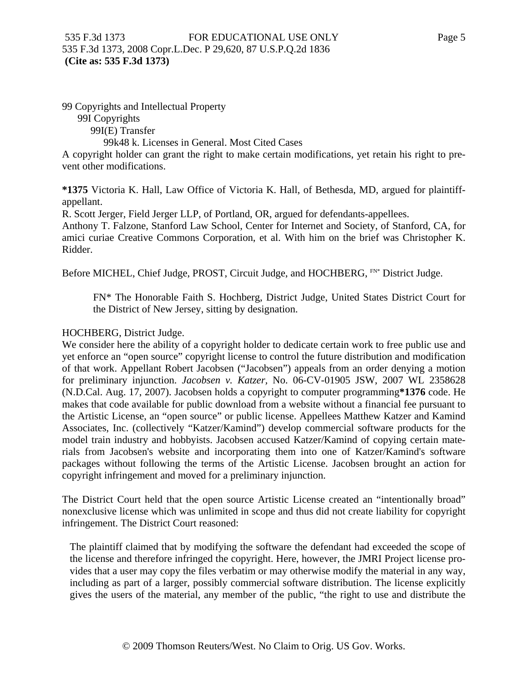99 Copyrights and Intellectual Property 99I Copyrights 99I(E) Transfer 99k48 k. Licenses in General. Most Cited Cases A copyright holder can grant the right to make certain modifications, yet retain his right to prevent other modifications.

**\*1375** Victoria K. Hall, Law Office of Victoria K. Hall, of Bethesda, MD, argued for plaintiffappellant.

R. Scott Jerger, Field Jerger LLP, of Portland, OR, argued for defendants-appellees.

Anthony T. Falzone, Stanford Law School, Center for Internet and Society, of Stanford, CA, for amici curiae Creative Commons Corporation, et al. With him on the brief was Christopher K. Ridder.

Before MICHEL, Chief Judge, PROST, Circuit Judge, and HOCHBERG,  $F^N$ \* District Judge.

FN\* The Honorable Faith S. Hochberg, District Judge, United States District Court for the District of New Jersey, sitting by designation.

## HOCHBERG, District Judge.

We consider here the ability of a copyright holder to dedicate certain work to free public use and yet enforce an "open source" copyright license to control the future distribution and modification of that work. Appellant Robert Jacobsen ("Jacobsen") appeals from an order denying a motion for preliminary injunction. *Jacobsen v. Katzer,* No. 06-CV-01905 JSW, 2007 WL 2358628 (N.D.Cal. Aug. 17, 2007). Jacobsen holds a copyright to computer programming**\*1376** code. He makes that code available for public download from a website without a financial fee pursuant to the Artistic License, an "open source" or public license. Appellees Matthew Katzer and Kamind Associates, Inc. (collectively "Katzer/Kamind") develop commercial software products for the model train industry and hobbyists. Jacobsen accused Katzer/Kamind of copying certain materials from Jacobsen's website and incorporating them into one of Katzer/Kamind's software packages without following the terms of the Artistic License. Jacobsen brought an action for copyright infringement and moved for a preliminary injunction.

The District Court held that the open source Artistic License created an "intentionally broad" nonexclusive license which was unlimited in scope and thus did not create liability for copyright infringement. The District Court reasoned:

The plaintiff claimed that by modifying the software the defendant had exceeded the scope of the license and therefore infringed the copyright. Here, however, the JMRI Project license provides that a user may copy the files verbatim or may otherwise modify the material in any way, including as part of a larger, possibly commercial software distribution. The license explicitly gives the users of the material, any member of the public, "the right to use and distribute the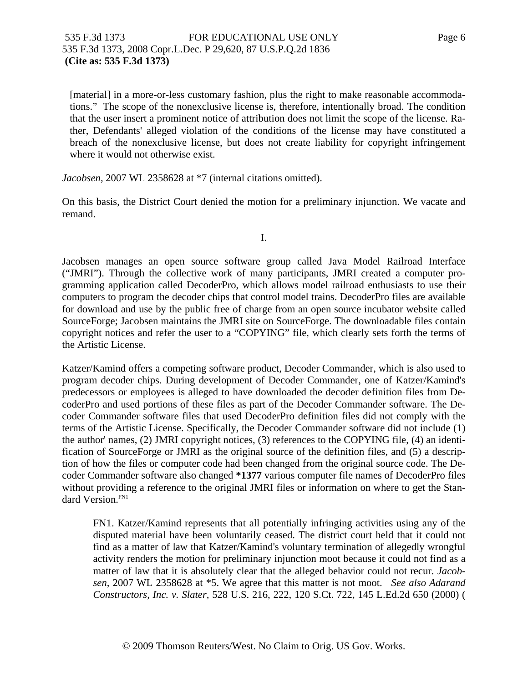[material] in a more-or-less customary fashion, plus the right to make reasonable accommodations." The scope of the nonexclusive license is, therefore, intentionally broad. The condition that the user insert a prominent notice of attribution does not limit the scope of the license. Rather, Defendants' alleged violation of the conditions of the license may have constituted a breach of the nonexclusive license, but does not create liability for copyright infringement where it would not otherwise exist.

*Jacobsen,* 2007 WL 2358628 at \*7 (internal citations omitted).

On this basis, the District Court denied the motion for a preliminary injunction. We vacate and remand.

I.

Jacobsen manages an open source software group called Java Model Railroad Interface ("JMRI"). Through the collective work of many participants, JMRI created a computer programming application called DecoderPro, which allows model railroad enthusiasts to use their computers to program the decoder chips that control model trains. DecoderPro files are available for download and use by the public free of charge from an open source incubator website called SourceForge; Jacobsen maintains the JMRI site on SourceForge. The downloadable files contain copyright notices and refer the user to a "COPYING" file, which clearly sets forth the terms of the Artistic License.

Katzer/Kamind offers a competing software product, Decoder Commander, which is also used to program decoder chips. During development of Decoder Commander, one of Katzer/Kamind's predecessors or employees is alleged to have downloaded the decoder definition files from DecoderPro and used portions of these files as part of the Decoder Commander software. The Decoder Commander software files that used DecoderPro definition files did not comply with the terms of the Artistic License. Specifically, the Decoder Commander software did not include (1) the author' names, (2) JMRI copyright notices, (3) references to the COPYING file, (4) an identification of SourceForge or JMRI as the original source of the definition files, and (5) a description of how the files or computer code had been changed from the original source code. The Decoder Commander software also changed **\*1377** various computer file names of DecoderPro files without providing a reference to the original JMRI files or information on where to get the Standard Version.<sup>FN1</sup>

FN1. Katzer/Kamind represents that all potentially infringing activities using any of the disputed material have been voluntarily ceased. The district court held that it could not find as a matter of law that Katzer/Kamind's voluntary termination of allegedly wrongful activity renders the motion for preliminary injunction moot because it could not find as a matter of law that it is absolutely clear that the alleged behavior could not recur. *Jacobsen,* 2007 WL 2358628 at \*5. We agree that this matter is not moot. *See also Adarand Constructors, Inc. v. Slater,* 528 U.S. 216, 222, 120 S.Ct. 722, 145 L.Ed.2d 650 (2000) (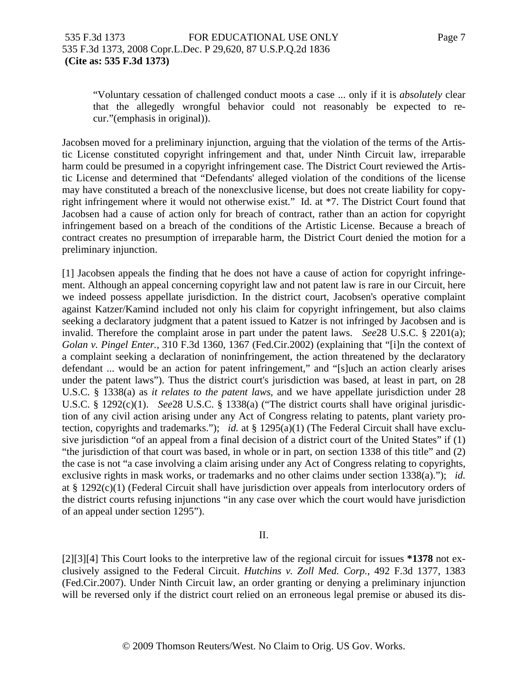"Voluntary cessation of challenged conduct moots a case ... only if it is *absolutely* clear that the allegedly wrongful behavior could not reasonably be expected to recur."(emphasis in original)).

Jacobsen moved for a preliminary injunction, arguing that the violation of the terms of the Artistic License constituted copyright infringement and that, under Ninth Circuit law, irreparable harm could be presumed in a copyright infringement case. The District Court reviewed the Artistic License and determined that "Defendants' alleged violation of the conditions of the license may have constituted a breach of the nonexclusive license, but does not create liability for copyright infringement where it would not otherwise exist." Id. at \*7. The District Court found that Jacobsen had a cause of action only for breach of contract, rather than an action for copyright infringement based on a breach of the conditions of the Artistic License. Because a breach of contract creates no presumption of irreparable harm, the District Court denied the motion for a preliminary injunction.

[1] Jacobsen appeals the finding that he does not have a cause of action for copyright infringement. Although an appeal concerning copyright law and not patent law is rare in our Circuit, here we indeed possess appellate jurisdiction. In the district court, Jacobsen's operative complaint against Katzer/Kamind included not only his claim for copyright infringement, but also claims seeking a declaratory judgment that a patent issued to Katzer is not infringed by Jacobsen and is invalid. Therefore the complaint arose in part under the patent laws. *See*28 U.S.C. § 2201(a); *Golan v. Pingel Enter.,* 310 F.3d 1360, 1367 (Fed.Cir.2002) (explaining that "[i]n the context of a complaint seeking a declaration of noninfringement, the action threatened by the declaratory defendant ... would be an action for patent infringement," and "[s]uch an action clearly arises under the patent laws"). Thus the district court's jurisdiction was based, at least in part, on 28 U.S.C. § 1338(a) as *it relates to the patent laws,* and we have appellate jurisdiction under 28 U.S.C. § 1292(c)(1). *See*28 U.S.C. § 1338(a) ("The district courts shall have original jurisdiction of any civil action arising under any Act of Congress relating to patents, plant variety protection, copyrights and trademarks."); *id.* at § 1295(a)(1) (The Federal Circuit shall have exclusive jurisdiction "of an appeal from a final decision of a district court of the United States" if (1) "the jurisdiction of that court was based, in whole or in part, on section 1338 of this title" and (2) the case is not "a case involving a claim arising under any Act of Congress relating to copyrights, exclusive rights in mask works, or trademarks and no other claims under section 1338(a)."); *id.* at § 1292(c)(1) (Federal Circuit shall have jurisdiction over appeals from interlocutory orders of the district courts refusing injunctions "in any case over which the court would have jurisdiction of an appeal under section 1295").

## II.

[2][3][4] This Court looks to the interpretive law of the regional circuit for issues **\*1378** not exclusively assigned to the Federal Circuit. *Hutchins v. Zoll Med. Corp.,* 492 F.3d 1377, 1383 (Fed.Cir.2007). Under Ninth Circuit law, an order granting or denying a preliminary injunction will be reversed only if the district court relied on an erroneous legal premise or abused its dis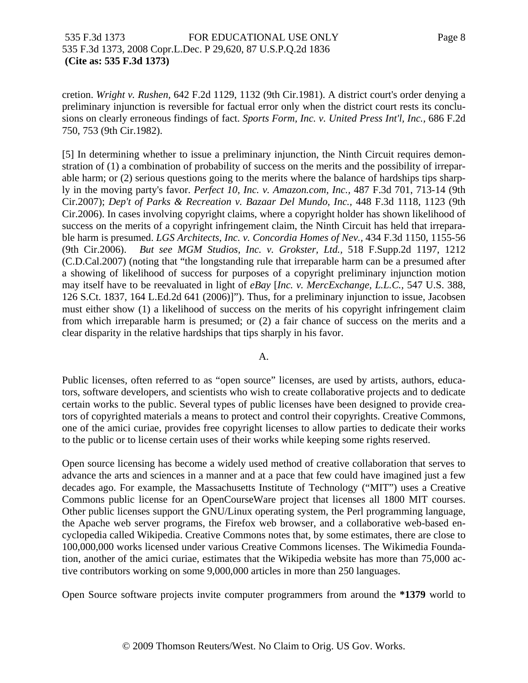cretion. *Wright v. Rushen,* 642 F.2d 1129, 1132 (9th Cir.1981). A district court's order denying a preliminary injunction is reversible for factual error only when the district court rests its conclusions on clearly erroneous findings of fact. *Sports Form, Inc. v. United Press Int'l, Inc.,* 686 F.2d 750, 753 (9th Cir.1982).

[5] In determining whether to issue a preliminary injunction, the Ninth Circuit requires demonstration of (1) a combination of probability of success on the merits and the possibility of irreparable harm; or (2) serious questions going to the merits where the balance of hardships tips sharply in the moving party's favor. *Perfect 10, Inc. v. Amazon.com, Inc.,* 487 F.3d 701, 713-14 (9th Cir.2007); *Dep't of Parks & Recreation v. Bazaar Del Mundo, Inc.,* 448 F.3d 1118, 1123 (9th Cir.2006). In cases involving copyright claims, where a copyright holder has shown likelihood of success on the merits of a copyright infringement claim, the Ninth Circuit has held that irreparable harm is presumed. *LGS Architects, Inc. v. Concordia Homes of Nev.,* 434 F.3d 1150, 1155-56 (9th Cir.2006). *But see MGM Studios, Inc. v. Grokster, Ltd.,* 518 F.Supp.2d 1197, 1212 (C.D.Cal.2007) (noting that "the longstanding rule that irreparable harm can be a presumed after a showing of likelihood of success for purposes of a copyright preliminary injunction motion may itself have to be reevaluated in light of *eBay* [*Inc. v. MercExchange, L.L.C.,* 547 U.S. 388, 126 S.Ct. 1837, 164 L.Ed.2d 641 (2006)]"). Thus, for a preliminary injunction to issue, Jacobsen must either show (1) a likelihood of success on the merits of his copyright infringement claim from which irreparable harm is presumed; or (2) a fair chance of success on the merits and a clear disparity in the relative hardships that tips sharply in his favor.

## A.

Public licenses, often referred to as "open source" licenses, are used by artists, authors, educators, software developers, and scientists who wish to create collaborative projects and to dedicate certain works to the public. Several types of public licenses have been designed to provide creators of copyrighted materials a means to protect and control their copyrights. Creative Commons, one of the amici curiae, provides free copyright licenses to allow parties to dedicate their works to the public or to license certain uses of their works while keeping some rights reserved.

Open source licensing has become a widely used method of creative collaboration that serves to advance the arts and sciences in a manner and at a pace that few could have imagined just a few decades ago. For example, the Massachusetts Institute of Technology ("MIT") uses a Creative Commons public license for an OpenCourseWare project that licenses all 1800 MIT courses. Other public licenses support the GNU/Linux operating system, the Perl programming language, the Apache web server programs, the Firefox web browser, and a collaborative web-based encyclopedia called Wikipedia. Creative Commons notes that, by some estimates, there are close to 100,000,000 works licensed under various Creative Commons licenses. The Wikimedia Foundation, another of the amici curiae, estimates that the Wikipedia website has more than 75,000 active contributors working on some 9,000,000 articles in more than 250 languages.

Open Source software projects invite computer programmers from around the **\*1379** world to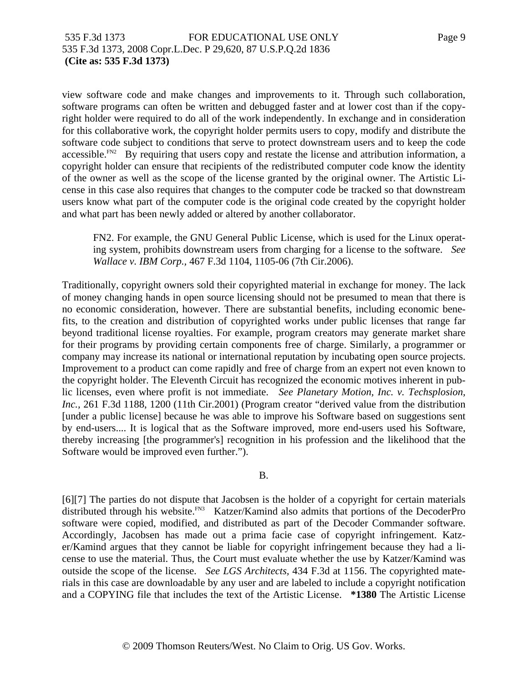view software code and make changes and improvements to it. Through such collaboration, software programs can often be written and debugged faster and at lower cost than if the copyright holder were required to do all of the work independently. In exchange and in consideration for this collaborative work, the copyright holder permits users to copy, modify and distribute the software code subject to conditions that serve to protect downstream users and to keep the code accessible. $F_{N2}$  By requiring that users copy and restate the license and attribution information, a copyright holder can ensure that recipients of the redistributed computer code know the identity of the owner as well as the scope of the license granted by the original owner. The Artistic License in this case also requires that changes to the computer code be tracked so that downstream users know what part of the computer code is the original code created by the copyright holder and what part has been newly added or altered by another collaborator.

FN2. For example, the GNU General Public License, which is used for the Linux operating system, prohibits downstream users from charging for a license to the software. *See Wallace v. IBM Corp.,* 467 F.3d 1104, 1105-06 (7th Cir.2006).

Traditionally, copyright owners sold their copyrighted material in exchange for money. The lack of money changing hands in open source licensing should not be presumed to mean that there is no economic consideration, however. There are substantial benefits, including economic benefits, to the creation and distribution of copyrighted works under public licenses that range far beyond traditional license royalties. For example, program creators may generate market share for their programs by providing certain components free of charge. Similarly, a programmer or company may increase its national or international reputation by incubating open source projects. Improvement to a product can come rapidly and free of charge from an expert not even known to the copyright holder. The Eleventh Circuit has recognized the economic motives inherent in public licenses, even where profit is not immediate. *See Planetary Motion, Inc. v. Techsplosion, Inc.,* 261 F.3d 1188, 1200 (11th Cir.2001) (Program creator "derived value from the distribution [under a public license] because he was able to improve his Software based on suggestions sent by end-users.... It is logical that as the Software improved, more end-users used his Software, thereby increasing [the programmer's] recognition in his profession and the likelihood that the Software would be improved even further.").

## B.

[6][7] The parties do not dispute that Jacobsen is the holder of a copyright for certain materials distributed through his website.<sup>FN3</sup> Katzer/Kamind also admits that portions of the DecoderPro software were copied, modified, and distributed as part of the Decoder Commander software. Accordingly, Jacobsen has made out a prima facie case of copyright infringement. Katzer/Kamind argues that they cannot be liable for copyright infringement because they had a license to use the material. Thus, the Court must evaluate whether the use by Katzer/Kamind was outside the scope of the license. *See LGS Architects,* 434 F.3d at 1156. The copyrighted materials in this case are downloadable by any user and are labeled to include a copyright notification and a COPYING file that includes the text of the Artistic License. **\*1380** The Artistic License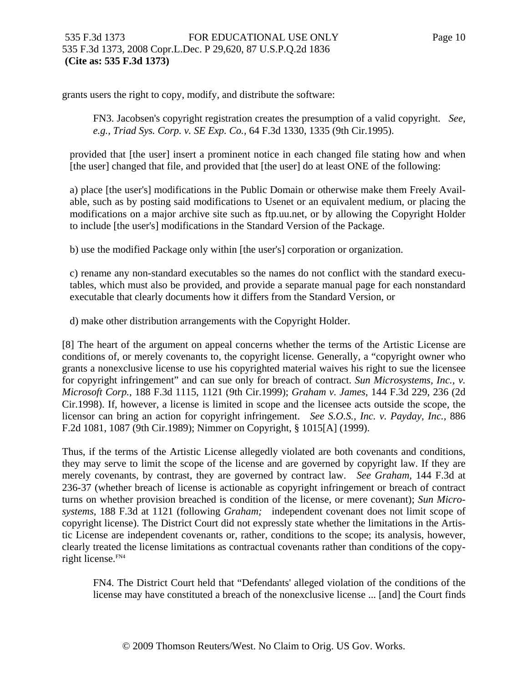grants users the right to copy, modify, and distribute the software:

FN3. Jacobsen's copyright registration creates the presumption of a valid copyright. *See, e.g., Triad Sys. Corp. v. SE Exp. Co.,* 64 F.3d 1330, 1335 (9th Cir.1995).

provided that [the user] insert a prominent notice in each changed file stating how and when [the user] changed that file, and provided that [the user] do at least ONE of the following:

a) place [the user's] modifications in the Public Domain or otherwise make them Freely Available, such as by posting said modifications to Usenet or an equivalent medium, or placing the modifications on a major archive site such as ftp.uu.net, or by allowing the Copyright Holder to include [the user's] modifications in the Standard Version of the Package.

b) use the modified Package only within [the user's] corporation or organization.

c) rename any non-standard executables so the names do not conflict with the standard executables, which must also be provided, and provide a separate manual page for each nonstandard executable that clearly documents how it differs from the Standard Version, or

d) make other distribution arrangements with the Copyright Holder.

[8] The heart of the argument on appeal concerns whether the terms of the Artistic License are conditions of, or merely covenants to, the copyright license. Generally, a "copyright owner who grants a nonexclusive license to use his copyrighted material waives his right to sue the licensee for copyright infringement" and can sue only for breach of contract. *Sun Microsystems, Inc., v. Microsoft Corp.,* 188 F.3d 1115, 1121 (9th Cir.1999); *Graham v. James,* 144 F.3d 229, 236 (2d Cir.1998). If, however, a license is limited in scope and the licensee acts outside the scope, the licensor can bring an action for copyright infringement. *See S.O.S., Inc. v. Payday, Inc.,* 886 F.2d 1081, 1087 (9th Cir.1989); Nimmer on Copyright, § 1015[A] (1999).

Thus, if the terms of the Artistic License allegedly violated are both covenants and conditions, they may serve to limit the scope of the license and are governed by copyright law. If they are merely covenants, by contrast, they are governed by contract law. *See Graham,* 144 F.3d at 236-37 (whether breach of license is actionable as copyright infringement or breach of contract turns on whether provision breached is condition of the license, or mere covenant); *Sun Microsystems,* 188 F.3d at 1121 (following *Graham;* independent covenant does not limit scope of copyright license). The District Court did not expressly state whether the limitations in the Artistic License are independent covenants or, rather, conditions to the scope; its analysis, however, clearly treated the license limitations as contractual covenants rather than conditions of the copyright license.FN4

FN4. The District Court held that "Defendants' alleged violation of the conditions of the license may have constituted a breach of the nonexclusive license ... [and] the Court finds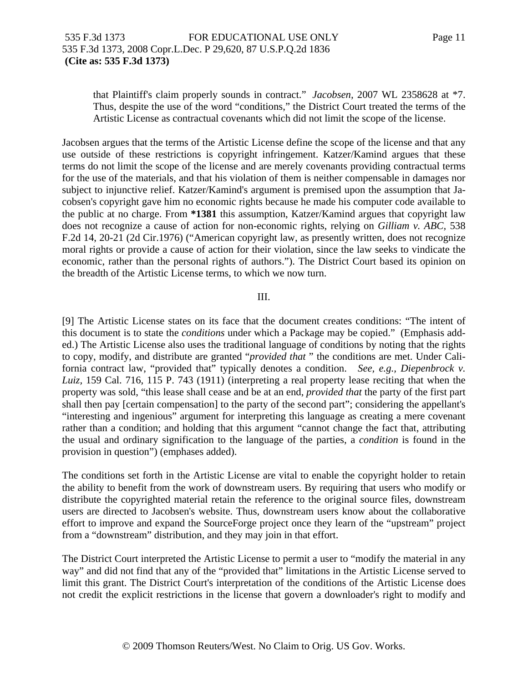that Plaintiff's claim properly sounds in contract." *Jacobsen,* 2007 WL 2358628 at \*7. Thus, despite the use of the word "conditions," the District Court treated the terms of the Artistic License as contractual covenants which did not limit the scope of the license.

Jacobsen argues that the terms of the Artistic License define the scope of the license and that any use outside of these restrictions is copyright infringement. Katzer/Kamind argues that these terms do not limit the scope of the license and are merely covenants providing contractual terms for the use of the materials, and that his violation of them is neither compensable in damages nor subject to injunctive relief. Katzer/Kamind's argument is premised upon the assumption that Jacobsen's copyright gave him no economic rights because he made his computer code available to the public at no charge. From **\*1381** this assumption, Katzer/Kamind argues that copyright law does not recognize a cause of action for non-economic rights, relying on *Gilliam v. ABC,* 538 F.2d 14, 20-21 (2d Cir.1976) ("American copyright law, as presently written, does not recognize moral rights or provide a cause of action for their violation, since the law seeks to vindicate the economic, rather than the personal rights of authors."). The District Court based its opinion on the breadth of the Artistic License terms, to which we now turn.

#### III.

[9] The Artistic License states on its face that the document creates conditions: "The intent of this document is to state the *conditions* under which a Package may be copied." (Emphasis added.) The Artistic License also uses the traditional language of conditions by noting that the rights to copy, modify, and distribute are granted "*provided that* " the conditions are met. Under California contract law, "provided that" typically denotes a condition. *See, e.g., Diepenbrock v. Luiz,* 159 Cal. 716, 115 P. 743 (1911) (interpreting a real property lease reciting that when the property was sold, "this lease shall cease and be at an end, *provided that* the party of the first part shall then pay [certain compensation] to the party of the second part"; considering the appellant's "interesting and ingenious" argument for interpreting this language as creating a mere covenant rather than a condition; and holding that this argument "cannot change the fact that, attributing the usual and ordinary signification to the language of the parties, a *condition* is found in the provision in question") (emphases added).

The conditions set forth in the Artistic License are vital to enable the copyright holder to retain the ability to benefit from the work of downstream users. By requiring that users who modify or distribute the copyrighted material retain the reference to the original source files, downstream users are directed to Jacobsen's website. Thus, downstream users know about the collaborative effort to improve and expand the SourceForge project once they learn of the "upstream" project from a "downstream" distribution, and they may join in that effort.

The District Court interpreted the Artistic License to permit a user to "modify the material in any way" and did not find that any of the "provided that" limitations in the Artistic License served to limit this grant. The District Court's interpretation of the conditions of the Artistic License does not credit the explicit restrictions in the license that govern a downloader's right to modify and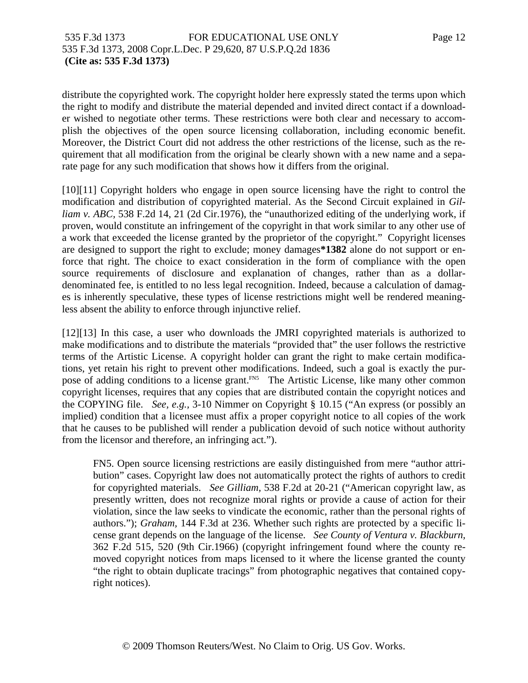distribute the copyrighted work. The copyright holder here expressly stated the terms upon which the right to modify and distribute the material depended and invited direct contact if a downloader wished to negotiate other terms. These restrictions were both clear and necessary to accomplish the objectives of the open source licensing collaboration, including economic benefit. Moreover, the District Court did not address the other restrictions of the license, such as the requirement that all modification from the original be clearly shown with a new name and a separate page for any such modification that shows how it differs from the original.

[10][11] Copyright holders who engage in open source licensing have the right to control the modification and distribution of copyrighted material. As the Second Circuit explained in *Gilliam v. ABC,* 538 F.2d 14, 21 (2d Cir.1976), the "unauthorized editing of the underlying work, if proven, would constitute an infringement of the copyright in that work similar to any other use of a work that exceeded the license granted by the proprietor of the copyright." Copyright licenses are designed to support the right to exclude; money damages**\*1382** alone do not support or enforce that right. The choice to exact consideration in the form of compliance with the open source requirements of disclosure and explanation of changes, rather than as a dollardenominated fee, is entitled to no less legal recognition. Indeed, because a calculation of damages is inherently speculative, these types of license restrictions might well be rendered meaningless absent the ability to enforce through injunctive relief.

[12][13] In this case, a user who downloads the JMRI copyrighted materials is authorized to make modifications and to distribute the materials "provided that" the user follows the restrictive terms of the Artistic License. A copyright holder can grant the right to make certain modifications, yet retain his right to prevent other modifications. Indeed, such a goal is exactly the purpose of adding conditions to a license grant.<sup>FN5</sup> The Artistic License, like many other common copyright licenses, requires that any copies that are distributed contain the copyright notices and the COPYING file. *See, e.g.,* 3-10 Nimmer on Copyright § 10.15 ("An express (or possibly an implied) condition that a licensee must affix a proper copyright notice to all copies of the work that he causes to be published will render a publication devoid of such notice without authority from the licensor and therefore, an infringing act.").

FN5. Open source licensing restrictions are easily distinguished from mere "author attribution" cases. Copyright law does not automatically protect the rights of authors to credit for copyrighted materials. *See Gilliam,* 538 F.2d at 20-21 ("American copyright law, as presently written, does not recognize moral rights or provide a cause of action for their violation, since the law seeks to vindicate the economic, rather than the personal rights of authors."); *Graham,* 144 F.3d at 236. Whether such rights are protected by a specific license grant depends on the language of the license. *See County of Ventura v. Blackburn,* 362 F.2d 515, 520 (9th Cir.1966) (copyright infringement found where the county removed copyright notices from maps licensed to it where the license granted the county "the right to obtain duplicate tracings" from photographic negatives that contained copyright notices).